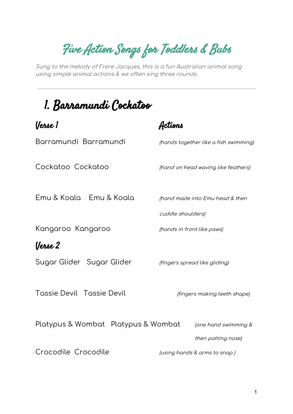Five Action Songs for Toddlers & Bubs

Sung to the melody of Frere Jacques, this is <sup>a</sup> fun Australian animal song using simple animal actions & we often sing three rounds.

## 1. Barramundi Cockatoo

| (Jerse 1                            |                                            |
|-------------------------------------|--------------------------------------------|
| Barramundi Barramundi               | (hands together like a fish swimming)      |
| Cockatoo Cockatoo                   | (hand on head waving like feathers)        |
| Emu & Koala Emu & Koala             | (hand made into Emu head & then            |
|                                     | cuddle shoulders)                          |
| Kangaroo Kangaroo                   | (hands in front like paws)                 |
| (Jerse 2                            |                                            |
| Sugar Glider Sugar Glider           | (fingers spread like gliding)              |
| <b>Tassie Devil Tassie Devil</b>    | (fingers making teeth shape)               |
| Platypus & Wombat Platypus & Wombat | (one hand swimming &<br>then patting nose) |
| Crocodile Crocodile                 | (using hands & arms to snap)               |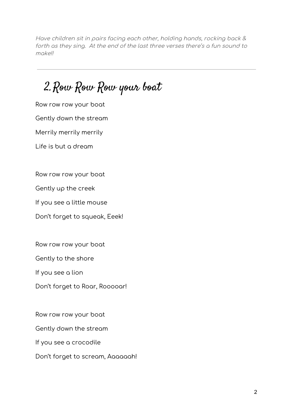Have children sit in pairs facing each other, holding hands, rocking back & forth as they sing. At the end of the last three verses there's <sup>a</sup> fun sound to make!!

2.Row Row Row your boat

Row row row your boat

Gently down the stream

Merrily merrily merrily

Life is but a dream

Row row row your boat

Gently up the creek

If you see a little mouse

Don't forget to squeak, Eeek!

Row row row your boat

Gently to the shore

If you see a lion

Don't forget to Roar, Rooooar!

Row row row your boat

Gently down the stream

If you see a crocodile

Don't forget to scream, Aaaaaah!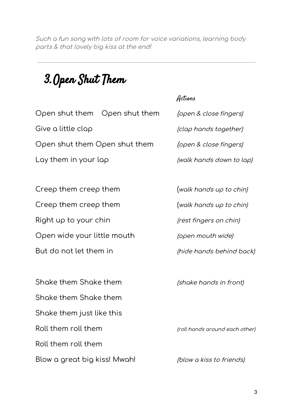Such <sup>a</sup> fun song with lots of room for voice variations, learning body parts & that lovely big kiss at the end!

## 3.Open Shut Them

## Open shut them Open shut them (open & close fingers) Give a little clap  $\log$  (clap hands together) Open shut them Open shut them (open & close fingers)

Creep them creep them (walk hands up to chin) Creep them creep them (walk hands up to chin) Right up to your chin (rest fingers on chin) Open wide your little mouth (open mouth wide) But do not let them in *(hide hands behind back)* 

Shake them Shake them (shake hands in front) Shake them Shake them Shake them just like this Roll them roll them  $\frac{1}{2}$  roll hands around each other) Roll them roll them Blow a great big kiss! Mwah! (blow a kiss to friends)

## Actions

Lay them in your lap  $(walk$  hands down to lap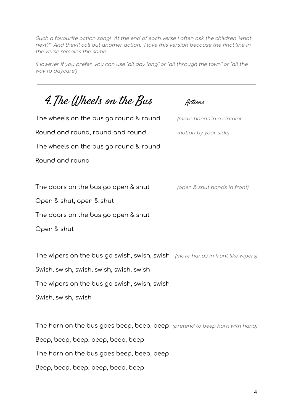Such <sup>a</sup> favourite action song! At the end of each verse I often ask the children "what next?" And they'll call out another action. I love this version because the final line in the verse remains the same.

(However if you prefer, you can use "all day long" or "all through the town" or "all the way to daycare")

4. The Wheels on the Bus Actions The wheels on the bus go round & round *(move hands in a circular*) Round and round, round and round motion by your side) The wheels on the bus go round & round Round and round The doors on the bus go open & shut (open & shut hands in front) Open & shut, open & shut The doors on the bus go open & shut Open & shut The wipers on the bus go swish, swish, swish (move hands in front like wipers) Swish, swish, swish, swish, swish, swish The wipers on the bus go swish, swish, swish

Swish, swish, swish

The horn on the bus goes beep, beep, beep (pretend to beep horn with hand) Beep, beep, beep, beep, beep, beep The horn on the bus goes beep, beep, beep Beep, beep, beep, beep, beep, beep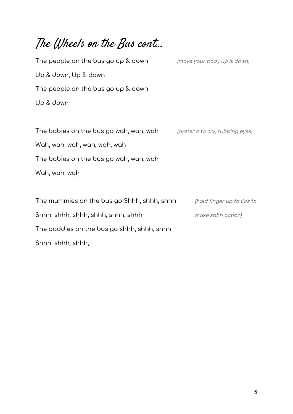The Wheels on the Bus cont... The people on the bus go up & down (move your body up & down) Up & down, Up & down The people on the bus go up & down Up & down The babies on the bus go wah, wah, wah (pretend to cry, rubbing eyes) Wah, wah, wah, wah, wah, wah The babies on the bus go wah, wah, wah Wah, wah, wah The mummies on the bus go Shhh, shhh, shhh (hold finger up to lips to Shhh, shhh, shhh, shhh, shhh<br>
make shhh action) The daddies on the bus go shhh, shhh, shhh Shhh, shhh, shhh,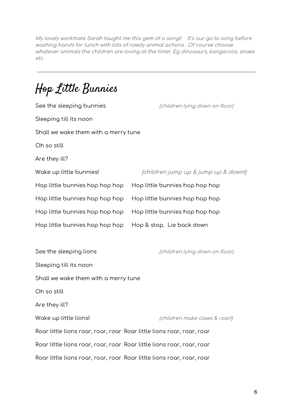My lovely workmate Sarah taught me this gem of <sup>a</sup> song!! It's our go to song before washing hands for lunch with lots of rowdy animal actions . Of course choose whatever animals the children are loving at the time! Eg dinosaurs, kangaroos, snake etc

Hop Little Bunnies

| See the sleeping bunnies                                              | (children lying down on floor)       |  |
|-----------------------------------------------------------------------|--------------------------------------|--|
| Sleeping till its noon                                                |                                      |  |
| Shall we wake them with a merry tune                                  |                                      |  |
| Oh so still                                                           |                                      |  |
| Are they ill?                                                         |                                      |  |
| Wake up little bunnies!                                               | (children jump up & jump up & down!) |  |
| Hop little bunnies hop hop hop                                        | Hop little bunnies hop hop hop       |  |
| Hop little bunnies hop hop hop                                        | Hop little bunnies hop hop hop       |  |
| Hop little bunnies hop hop hop                                        | Hop little bunnies hop hop hop       |  |
| Hop little bunnies hop hop hop                                        | Hop & stop. Lie back down            |  |
|                                                                       |                                      |  |
| See the sleeping lions                                                | (children lying down on floor)       |  |
| Sleeping till its noon                                                |                                      |  |
| Shall we wake them with a merry tune                                  |                                      |  |
| Oh so still                                                           |                                      |  |
| Are they ill?                                                         |                                      |  |
| Wake up little lions!                                                 | (children make claws & roar!)        |  |
| Roar little lions roar, roar, roar Roar little lions roar, roar, roar |                                      |  |
| Roar little lions roar, roar, roar Roar little lions roar, roar, roar |                                      |  |
| Roar little lions roar, roar, roar Roar little lions roar, roar, roar |                                      |  |